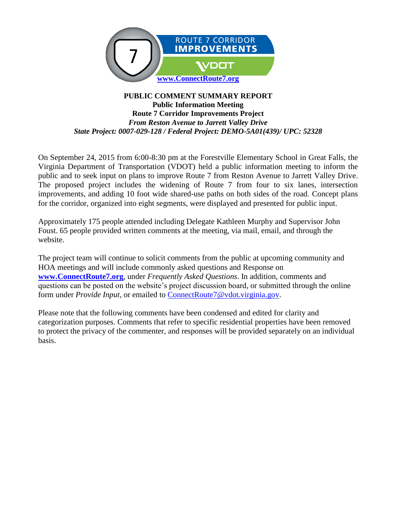

#### **PUBLIC COMMENT SUMMARY REPORT Public Information Meeting Route 7 Corridor Improvements Project** *From Reston Avenue to Jarrett Valley Drive State Project: 0007-029-128 / Federal Project: DEMO-5A01(439)/ UPC: 52328*

On September 24, 2015 from 6:00-8:30 pm at the Forestville Elementary School in Great Falls, the Virginia Department of Transportation (VDOT) held a public information meeting to inform the public and to seek input on plans to improve Route 7 from Reston Avenue to Jarrett Valley Drive. The proposed project includes the widening of Route 7 from four to six lanes, intersection improvements, and adding 10 foot wide shared-use paths on both sides of the road. Concept plans for the corridor, organized into eight segments, were displayed and presented for public input.

Approximately 175 people attended including Delegate Kathleen Murphy and Supervisor John Foust. 65 people provided written comments at the meeting, via mail, email, and through the website.

The project team will continue to solicit comments from the public at upcoming community and HOA meetings and will include commonly asked questions and Response on **[www.ConnectRoute7.org](http://www.connectroute7.org/)**, under *Frequently Asked Questions*. In addition, comments and questions can be posted on the website's project discussion board, or submitted through the online form under *Provide Input*, or emailed to **ConnectRoute**7@vdot.virginia.gov.

Please note that the following comments have been condensed and edited for clarity and categorization purposes. Comments that refer to specific residential properties have been removed to protect the privacy of the commenter, and responses will be provided separately on an individual basis.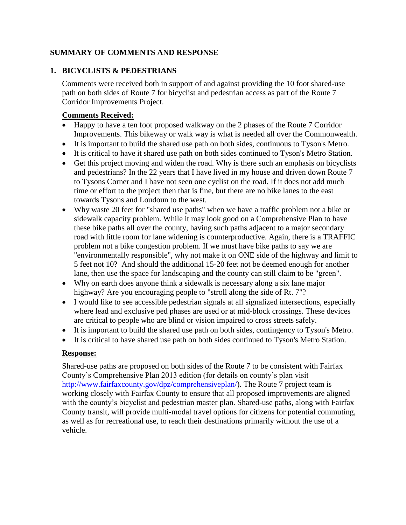### **SUMMARY OF COMMENTS AND RESPONSE**

### **1. BICYCLISTS & PEDESTRIANS**

Comments were received both in support of and against providing the 10 foot shared-use path on both sides of Route 7 for bicyclist and pedestrian access as part of the Route 7 Corridor Improvements Project.

### **Comments Received:**

- Happy to have a ten foot proposed walkway on the 2 phases of the Route 7 Corridor Improvements. This bikeway or walk way is what is needed all over the Commonwealth.
- It is important to build the shared use path on both sides, continuous to Tyson's Metro.
- It is critical to have it shared use path on both sides continued to Tyson's Metro Station.
- Get this project moving and widen the road. Why is there such an emphasis on bicyclists and pedestrians? In the 22 years that I have lived in my house and driven down Route 7 to Tysons Corner and I have not seen one cyclist on the road. If it does not add much time or effort to the project then that is fine, but there are no bike lanes to the east towards Tysons and Loudoun to the west.
- Why waste 20 feet for "shared use paths" when we have a traffic problem not a bike or sidewalk capacity problem. While it may look good on a Comprehensive Plan to have these bike paths all over the county, having such paths adjacent to a major secondary road with little room for lane widening is counterproductive. Again, there is a TRAFFIC problem not a bike congestion problem. If we must have bike paths to say we are "environmentally responsible", why not make it on ONE side of the highway and limit to 5 feet not 10? And should the additional 15-20 feet not be deemed enough for another lane, then use the space for landscaping and the county can still claim to be "green".
- Why on earth does anyone think a sidewalk is necessary along a six lane major highway? Are you encouraging people to "stroll along the side of Rt. 7"?
- I would like to see accessible pedestrian signals at all signalized intersections, especially where lead and exclusive ped phases are used or at mid-block crossings. These devices are critical to people who are blind or vision impaired to cross streets safely.
- It is important to build the shared use path on both sides, contingency to Tyson's Metro.
- It is critical to have shared use path on both sides continued to Tyson's Metro Station.

### **Response:**

Shared-use paths are proposed on both sides of the Route 7 to be consistent with Fairfax County's Comprehensive Plan 2013 edition (for details on county's plan visit [http://www.fairfaxcounty.gov/dpz/comprehensiveplan/\)](http://www.fairfaxcounty.gov/dpz/comprehensiveplan/). The Route 7 project team is working closely with Fairfax County to ensure that all proposed improvements are aligned with the county's bicyclist and pedestrian master plan. Shared-use paths, along with Fairfax County transit, will provide multi-modal travel options for citizens for potential commuting, as well as for recreational use, to reach their destinations primarily without the use of a vehicle.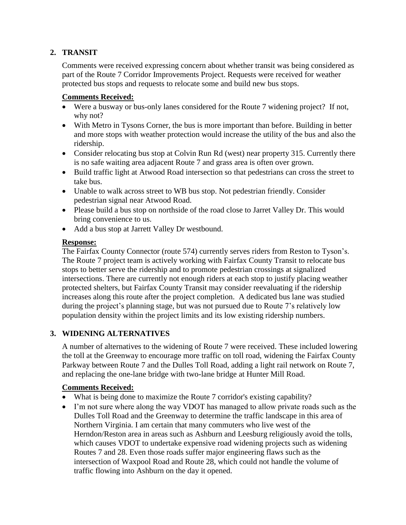# **2. TRANSIT**

Comments were received expressing concern about whether transit was being considered as part of the Route 7 Corridor Improvements Project. Requests were received for weather protected bus stops and requests to relocate some and build new bus stops.

### **Comments Received:**

- Were a busway or bus-only lanes considered for the Route 7 widening project? If not, why not?
- With Metro in Tysons Corner, the bus is more important than before. Building in better and more stops with weather protection would increase the utility of the bus and also the ridership.
- Consider relocating bus stop at Colvin Run Rd (west) near property 315. Currently there is no safe waiting area adjacent Route 7 and grass area is often over grown.
- Build traffic light at Atwood Road intersection so that pedestrians can cross the street to take bus.
- Unable to walk across street to WB bus stop. Not pedestrian friendly. Consider pedestrian signal near Atwood Road.
- Please build a bus stop on northside of the road close to Jarret Valley Dr. This would bring convenience to us.
- Add a bus stop at Jarrett Valley Dr westbound.

#### **Response:**

The Fairfax County Connector (route 574) currently serves riders from Reston to Tyson's. The Route 7 project team is actively working with Fairfax County Transit to relocate bus stops to better serve the ridership and to promote pedestrian crossings at signalized intersections. There are currently not enough riders at each stop to justify placing weather protected shelters, but Fairfax County Transit may consider reevaluating if the ridership increases along this route after the project completion. A dedicated bus lane was studied during the project's planning stage, but was not pursued due to Route 7's relatively low population density within the project limits and its low existing ridership numbers.

# **3. WIDENING ALTERNATIVES**

A number of alternatives to the widening of Route 7 were received. These included lowering the toll at the Greenway to encourage more traffic on toll road, widening the Fairfax County Parkway between Route 7 and the Dulles Toll Road, adding a light rail network on Route 7, and replacing the one-lane bridge with two-lane bridge at Hunter Mill Road.

- What is being done to maximize the Route 7 corridor's existing capability?
- I'm not sure where along the way VDOT has managed to allow private roads such as the Dulles Toll Road and the Greenway to determine the traffic landscape in this area of Northern Virginia. I am certain that many commuters who live west of the Herndon/Reston area in areas such as Ashburn and Leesburg religiously avoid the tolls, which causes VDOT to undertake expensive road widening projects such as widening Routes 7 and 28. Even those roads suffer major engineering flaws such as the intersection of Waxpool Road and Route 28, which could not handle the volume of traffic flowing into Ashburn on the day it opened.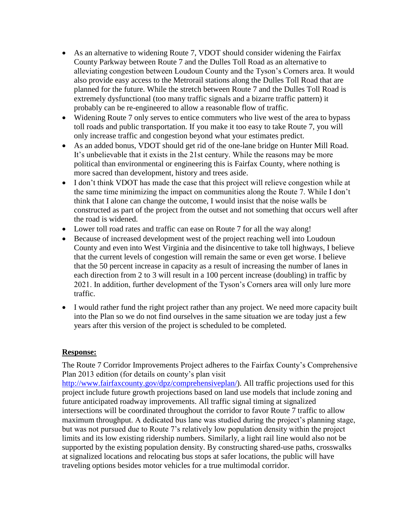- As an alternative to widening Route 7, VDOT should consider widening the Fairfax County Parkway between Route 7 and the Dulles Toll Road as an alternative to alleviating congestion between Loudoun County and the Tyson's Corners area. It would also provide easy access to the Metrorail stations along the Dulles Toll Road that are planned for the future. While the stretch between Route 7 and the Dulles Toll Road is extremely dysfunctional (too many traffic signals and a bizarre traffic pattern) it probably can be re-engineered to allow a reasonable flow of traffic.
- Widening Route 7 only serves to entice commuters who live west of the area to bypass toll roads and public transportation. If you make it too easy to take Route 7, you will only increase traffic and congestion beyond what your estimates predict.
- As an added bonus, VDOT should get rid of the one-lane bridge on Hunter Mill Road. It's unbelievable that it exists in the 21st century. While the reasons may be more political than environmental or engineering this is Fairfax County, where nothing is more sacred than development, history and trees aside.
- I don't think VDOT has made the case that this project will relieve congestion while at the same time minimizing the impact on communities along the Route 7. While I don't think that I alone can change the outcome, I would insist that the noise walls be constructed as part of the project from the outset and not something that occurs well after the road is widened.
- Lower toll road rates and traffic can ease on Route 7 for all the way along!
- Because of increased development west of the project reaching well into Loudoun County and even into West Virginia and the disincentive to take toll highways, I believe that the current levels of congestion will remain the same or even get worse. I believe that the 50 percent increase in capacity as a result of increasing the number of lanes in each direction from 2 to 3 will result in a 100 percent increase (doubling) in traffic by 2021. In addition, further development of the Tyson's Corners area will only lure more traffic.
- I would rather fund the right project rather than any project. We need more capacity built into the Plan so we do not find ourselves in the same situation we are today just a few years after this version of the project is scheduled to be completed.

### **Response:**

The Route 7 Corridor Improvements Project adheres to the Fairfax County's Comprehensive Plan 2013 edition (for details on county's plan visit

[http://www.fairfaxcounty.gov/dpz/comprehensiveplan/\)](http://www.fairfaxcounty.gov/dpz/comprehensiveplan/). All traffic projections used for this project include future growth projections based on land use models that include zoning and future anticipated roadway improvements. All traffic signal timing at signalized intersections will be coordinated throughout the corridor to favor Route 7 traffic to allow maximum throughput. A dedicated bus lane was studied during the project's planning stage, but was not pursued due to Route 7's relatively low population density within the project limits and its low existing ridership numbers. Similarly, a light rail line would also not be supported by the existing population density. By constructing shared-use paths, crosswalks at signalized locations and relocating bus stops at safer locations, the public will have traveling options besides motor vehicles for a true multimodal corridor.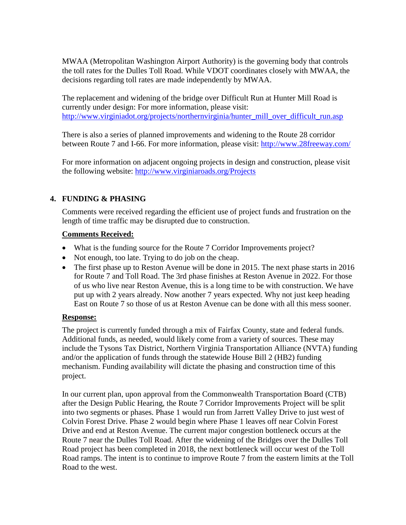MWAA (Metropolitan Washington Airport Authority) is the governing body that controls the toll rates for the Dulles Toll Road. While VDOT coordinates closely with MWAA, the decisions regarding toll rates are made independently by MWAA.

The replacement and widening of the bridge over Difficult Run at Hunter Mill Road is currently under design: For more information, please visit: [http://www.virginiadot.org/projects/northernvirginia/hunter\\_mill\\_over\\_difficult\\_run.asp](http://www.virginiadot.org/projects/northernvirginia/hunter_mill_over_difficult_run.asp)

There is also a series of planned improvements and widening to the Route 28 corridor between Route 7 and I-66. For more information, please visit:<http://www.28freeway.com/>

For more information on adjacent ongoing projects in design and construction, please visit the following website: <http://www.virginiaroads.org/Projects>

# **4. FUNDING & PHASING**

Comments were received regarding the efficient use of project funds and frustration on the length of time traffic may be disrupted due to construction.

### **Comments Received:**

- What is the funding source for the Route 7 Corridor Improvements project?
- Not enough, too late. Trying to do job on the cheap.
- The first phase up to Reston Avenue will be done in 2015. The next phase starts in 2016 for Route 7 and Toll Road. The 3rd phase finishes at Reston Avenue in 2022. For those of us who live near Reston Avenue, this is a long time to be with construction. We have put up with 2 years already. Now another 7 years expected. Why not just keep heading East on Route 7 so those of us at Reston Avenue can be done with all this mess sooner.

### **Response:**

The project is currently funded through a mix of Fairfax County, state and federal funds. Additional funds, as needed, would likely come from a variety of sources. These may include the Tysons Tax District, Northern Virginia Transportation Alliance (NVTA) funding and/or the application of funds through the statewide House Bill 2 (HB2) funding mechanism. Funding availability will dictate the phasing and construction time of this project.

In our current plan, upon approval from the Commonwealth Transportation Board (CTB) after the Design Public Hearing, the Route 7 Corridor Improvements Project will be split into two segments or phases. Phase 1 would run from Jarrett Valley Drive to just west of Colvin Forest Drive. Phase 2 would begin where Phase 1 leaves off near Colvin Forest Drive and end at Reston Avenue. The current major congestion bottleneck occurs at the Route 7 near the Dulles Toll Road. After the widening of the Bridges over the Dulles Toll Road project has been completed in 2018, the next bottleneck will occur west of the Toll Road ramps. The intent is to continue to improve Route 7 from the eastern limits at the Toll Road to the west.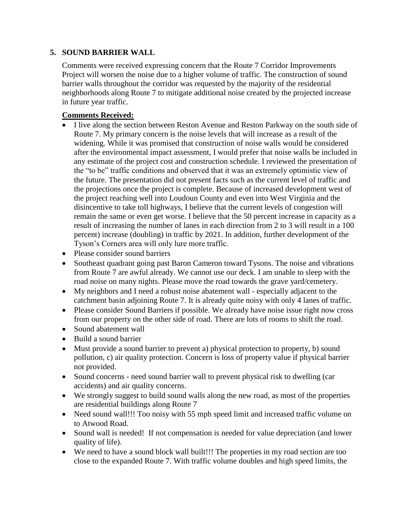### **5. SOUND BARRIER WALL**

Comments were received expressing concern that the Route 7 Corridor Improvements Project will worsen the noise due to a higher volume of traffic. The construction of sound barrier walls throughout the corridor was requested by the majority of the residential neighborhoods along Route 7 to mitigate additional noise created by the projected increase in future year traffic.

- I live along the section between Reston Avenue and Reston Parkway on the south side of Route 7. My primary concern is the noise levels that will increase as a result of the widening. While it was promised that construction of noise walls would be considered after the environmental impact assessment, I would prefer that noise walls be included in any estimate of the project cost and construction schedule. I reviewed the presentation of the "to be" traffic conditions and observed that it was an extremely optimistic view of the future. The presentation did not present facts such as the current level of traffic and the projections once the project is complete. Because of increased development west of the project reaching well into Loudoun County and even into West Virginia and the disincentive to take toll highways, I believe that the current levels of congestion will remain the same or even get worse. I believe that the 50 percent increase in capacity as a result of increasing the number of lanes in each direction from 2 to 3 will result in a 100 percent) increase (doubling) in traffic by 2021. In addition, further development of the Tyson's Corners area will only lure more traffic.
- Please consider sound barriers
- Southeast quadrant going past Baron Cameron toward Tysons. The noise and vibrations from Route 7 are awful already. We cannot use our deck. I am unable to sleep with the road noise on many nights. Please move the road towards the grave yard/cemetery.
- My neighbors and I need a robust noise abatement wall especially adjacent to the catchment basin adjoining Route 7. It is already quite noisy with only 4 lanes of traffic.
- Please consider Sound Barriers if possible. We already have noise issue right now cross from our property on the other side of road. There are lots of rooms to shift the road.
- Sound abatement wall
- Build a sound barrier
- Must provide a sound barrier to prevent a) physical protection to property, b) sound pollution, c) air quality protection. Concern is loss of property value if physical barrier not provided.
- Sound concerns need sound barrier wall to prevent physical risk to dwelling (car accidents) and air quality concerns.
- We strongly suggest to build sound walls along the new road, as most of the properties are residential buildings along Route 7
- Need sound wall!!! Too noisy with 55 mph speed limit and increased traffic volume on to Atwood Road.
- Sound wall is needed! If not compensation is needed for value depreciation (and lower quality of life).
- We need to have a sound block wall built!!! The properties in my road section are too close to the expanded Route 7. With traffic volume doubles and high speed limits, the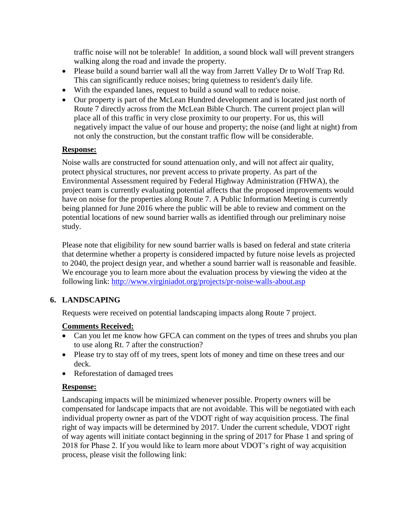traffic noise will not be tolerable! In addition, a sound block wall will prevent strangers walking along the road and invade the property.

- Please build a sound barrier wall all the way from Jarrett Valley Dr to Wolf Trap Rd. This can significantly reduce noises; bring quietness to resident's daily life.
- With the expanded lanes, request to build a sound wall to reduce noise.
- Our property is part of the McLean Hundred development and is located just north of Route 7 directly across from the McLean Bible Church. The current project plan will place all of this traffic in very close proximity to our property. For us, this will negatively impact the value of our house and property; the noise (and light at night) from not only the construction, but the constant traffic flow will be considerable.

### **Response:**

Noise walls are constructed for sound attenuation only, and will not affect air quality, protect physical structures, nor prevent access to private property. As part of the Environmental Assessment required by Federal Highway Administration (FHWA), the project team is currently evaluating potential affects that the proposed improvements would have on noise for the properties along Route 7. A Public Information Meeting is currently being planned for June 2016 where the public will be able to review and comment on the potential locations of new sound barrier walls as identified through our preliminary noise study.

Please note that eligibility for new sound barrier walls is based on federal and state criteria that determine whether a property is considered impacted by future noise levels as projected to 2040, the project design year, and whether a sound barrier wall is reasonable and feasible. We encourage you to learn more about the evaluation process by viewing the video at the following link:<http://www.virginiadot.org/projects/pr-noise-walls-about.asp>

# **6. LANDSCAPING**

Requests were received on potential landscaping impacts along Route 7 project.

# **Comments Received:**

- Can you let me know how GFCA can comment on the types of trees and shrubs you plan to use along Rt. 7 after the construction?
- Please try to stay off of my trees, spent lots of money and time on these trees and our deck.
- Reforestation of damaged trees

# **Response:**

Landscaping impacts will be minimized whenever possible. Property owners will be compensated for landscape impacts that are not avoidable. This will be negotiated with each individual property owner as part of the VDOT right of way acquisition process. The final right of way impacts will be determined by 2017. Under the current schedule, VDOT right of way agents will initiate contact beginning in the spring of 2017 for Phase 1 and spring of 2018 for Phase 2. If you would like to learn more about VDOT's right of way acquisition process, please visit the following link: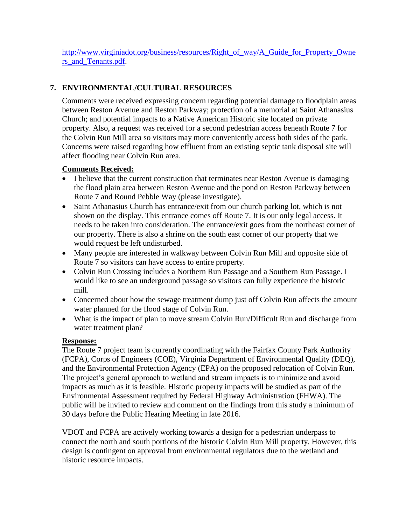[http://www.virginiadot.org/business/resources/Right\\_of\\_way/A\\_Guide\\_for\\_Property\\_Owne](http://www.virginiadot.org/business/resources/Right_of_way/A_Guide_for_Property_Owners_and_Tenants.pdf) [rs\\_and\\_Tenants.pdf.](http://www.virginiadot.org/business/resources/Right_of_way/A_Guide_for_Property_Owners_and_Tenants.pdf)

# **7. ENVIRONMENTAL/CULTURAL RESOURCES**

Comments were received expressing concern regarding potential damage to floodplain areas between Reston Avenue and Reston Parkway; protection of a memorial at Saint Athanasius Church; and potential impacts to a Native American Historic site located on private property. Also, a request was received for a second pedestrian access beneath Route 7 for the Colvin Run Mill area so visitors may more conveniently access both sides of the park. Concerns were raised regarding how effluent from an existing septic tank disposal site will affect flooding near Colvin Run area.

### **Comments Received:**

- I believe that the current construction that terminates near Reston Avenue is damaging the flood plain area between Reston Avenue and the pond on Reston Parkway between Route 7 and Round Pebble Way (please investigate).
- Saint Athanasius Church has entrance/exit from our church parking lot, which is not shown on the display. This entrance comes off Route 7. It is our only legal access. It needs to be taken into consideration. The entrance/exit goes from the northeast corner of our property. There is also a shrine on the south east corner of our property that we would request be left undisturbed.
- Many people are interested in walkway between Colvin Run Mill and opposite side of Route 7 so visitors can have access to entire property.
- Colvin Run Crossing includes a Northern Run Passage and a Southern Run Passage. I would like to see an underground passage so visitors can fully experience the historic mill.
- Concerned about how the sewage treatment dump just off Colvin Run affects the amount water planned for the flood stage of Colvin Run.
- What is the impact of plan to move stream Colvin Run/Difficult Run and discharge from water treatment plan?

### **Response:**

The Route 7 project team is currently coordinating with the Fairfax County Park Authority (FCPA), Corps of Engineers (COE), Virginia Department of Environmental Quality (DEQ), and the Environmental Protection Agency (EPA) on the proposed relocation of Colvin Run. The project's general approach to wetland and stream impacts is to minimize and avoid impacts as much as it is feasible. Historic property impacts will be studied as part of the Environmental Assessment required by Federal Highway Administration (FHWA). The public will be invited to review and comment on the findings from this study a minimum of 30 days before the Public Hearing Meeting in late 2016.

VDOT and FCPA are actively working towards a design for a pedestrian underpass to connect the north and south portions of the historic Colvin Run Mill property. However, this design is contingent on approval from environmental regulators due to the wetland and historic resource impacts.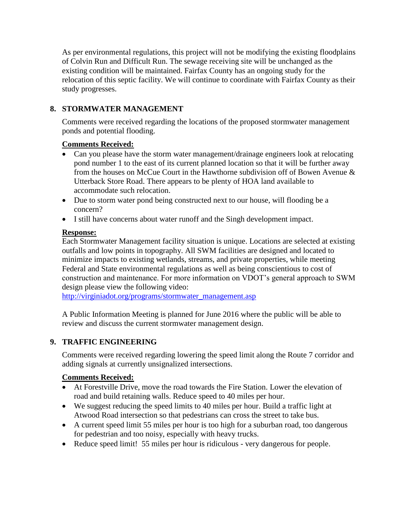As per environmental regulations, this project will not be modifying the existing floodplains of Colvin Run and Difficult Run. The sewage receiving site will be unchanged as the existing condition will be maintained. Fairfax County has an ongoing study for the relocation of this septic facility. We will continue to coordinate with Fairfax County as their study progresses.

# **8. STORMWATER MANAGEMENT**

Comments were received regarding the locations of the proposed stormwater management ponds and potential flooding.

# **Comments Received:**

- Can you please have the storm water management/drainage engineers look at relocating pond number 1 to the east of its current planned location so that it will be further away from the houses on McCue Court in the Hawthorne subdivision off of Bowen Avenue & Utterback Store Road. There appears to be plenty of HOA land available to accommodate such relocation.
- Due to storm water pond being constructed next to our house, will flooding be a concern?
- I still have concerns about water runoff and the Singh development impact.

### **Response:**

Each Stormwater Management facility situation is unique. Locations are selected at existing outfalls and low points in topography. All SWM facilities are designed and located to minimize impacts to existing wetlands, streams, and private properties, while meeting Federal and State environmental regulations as well as being conscientious to cost of construction and maintenance. For more information on VDOT's general approach to SWM design please view the following video:

[http://virginiadot.org/programs/stormwater\\_management.asp](http://virginiadot.org/programs/stormwater_management.asp)

A Public Information Meeting is planned for June 2016 where the public will be able to review and discuss the current stormwater management design.

# **9. TRAFFIC ENGINEERING**

Comments were received regarding lowering the speed limit along the Route 7 corridor and adding signals at currently unsignalized intersections.

- At Forestville Drive, move the road towards the Fire Station. Lower the elevation of road and build retaining walls. Reduce speed to 40 miles per hour.
- We suggest reducing the speed limits to 40 miles per hour. Build a traffic light at Atwood Road intersection so that pedestrians can cross the street to take bus.
- A current speed limit 55 miles per hour is too high for a suburban road, too dangerous for pedestrian and too noisy, especially with heavy trucks.
- Reduce speed limit! 55 miles per hour is ridiculous very dangerous for people.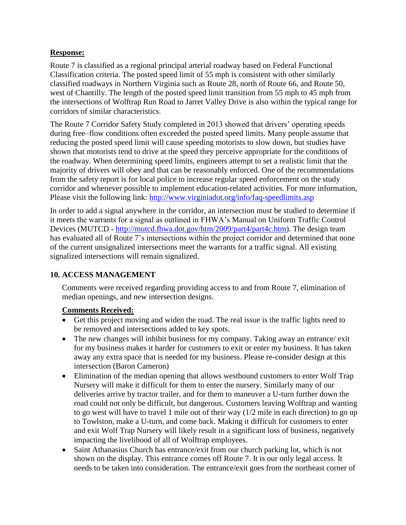### **Response:**

Route 7 is classified as a regional principal arterial roadway based on Federal Functional Classification criteria. The posted speed limit of 55 mph is consistent with other similarly classified roadways in Northern Virginia such as Route 28, north of Route 66, and Route 50, west of Chantilly. The length of the posted speed limit transition from 55 mph to 45 mph from the intersections of Wolftrap Run Road to Jarret Valley Drive is also within the typical range for corridors of similar characteristics.

The Route 7 Corridor Safety Study completed in 2013 showed that drivers' operating speeds during free–flow conditions often exceeded the posted speed limits. Many people assume that reducing the posted speed limit will cause speeding motorists to slow down, but studies have shown that motorists tend to drive at the speed they perceive appropriate for the conditions of the roadway. When determining speed limits, engineers attempt to set a realistic limit that the majority of drivers will obey and that can be reasonably enforced. One of the recommendations from the safety report is for local police to increase regular speed enforcement on the study corridor and whenever possible to implement education-related activities. For more information, Please visit the following link:<http://www.virginiadot.org/info/faq-speedlimits.asp>

In order to add a signal anywhere in the corridor, an intersection must be studied to determine if it meets the warrants for a signal as outlined in FHWA's Manual on Uniform Traffic Control Devices (MUTCD - [http://mutcd.fhwa.dot.gov/htm/2009/part4/part4c.htm\)](http://mutcd.fhwa.dot.gov/htm/2009/part4/part4c.htm). The design team has evaluated all of Route 7's intersections within the project corridor and determined that none of the current unsignalized intersections meet the warrants for a traffic signal. All existing signalized intersections will remain signalized.

# **10. ACCESS MANAGEMENT**

Comments were received regarding providing access to and from Route 7, elimination of median openings, and new intersection designs.

- Get this project moving and widen the road. The real issue is the traffic lights need to be removed and intersections added to key spots.
- The new changes will inhibit business for my company. Taking away an entrance/ exit for my business makes it harder for customers to exit or enter my business. It has taken away any extra space that is needed for my business. Please re-consider design at this intersection (Baron Cameron)
- Elimination of the median opening that allows westbound customers to enter Wolf Trap Nursery will make it difficult for them to enter the nursery. Similarly many of our deliveries arrive by tractor trailer, and for them to maneuver a U-turn further down the road could not only be difficult, but dangerous. Customers leaving Wolftrap and wanting to go west will have to travel 1 mile out of their way (1/2 mile in each direction) to go up to Towlston, make a U-turn, and come back. Making it difficult for customers to enter and exit Wolf Trap Nursery will likely result in a significant loss of business, negatively impacting the livelihood of all of Wolftrap employees.
- Saint Athanasius Church has entrance/exit from our church parking lot, which is not shown on the display. This entrance comes off Route 7. It is our only legal access. It needs to be taken into consideration. The entrance/exit goes from the northeast corner of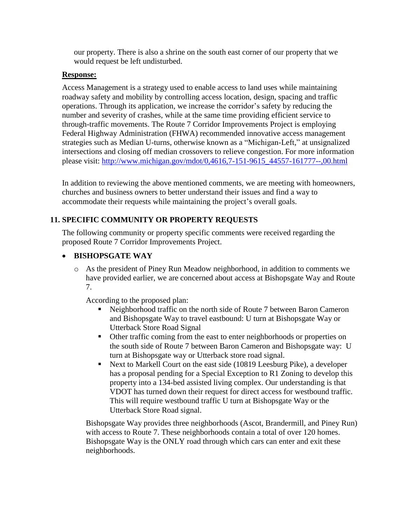our property. There is also a shrine on the south east corner of our property that we would request be left undisturbed.

#### **Response:**

Access Management is a strategy used to enable access to land uses while maintaining roadway safety and mobility by controlling access location, design, spacing and traffic operations. Through its application, we increase the corridor's safety by reducing the number and severity of crashes, while at the same time providing efficient service to through-traffic movements. The Route 7 Corridor Improvements Project is employing Federal Highway Administration (FHWA) recommended innovative access management strategies such as Median U-turns, otherwise known as a "Michigan-Left," at unsignalized intersections and closing off median crossovers to relieve congestion. For more information please visit: [http://www.michigan.gov/mdot/0,4616,7-151-9615\\_44557-161777--,00.html](http://www.michigan.gov/mdot/0,4616,7-151-9615_44557-161777--,00.html)

In addition to reviewing the above mentioned comments, we are meeting with homeowners, churches and business owners to better understand their issues and find a way to accommodate their requests while maintaining the project's overall goals.

### **11. SPECIFIC COMMUNITY OR PROPERTY REQUESTS**

The following community or property specific comments were received regarding the proposed Route 7 Corridor Improvements Project.

### **BISHOPSGATE WAY**

o As the president of Piney Run Meadow neighborhood, in addition to comments we have provided earlier, we are concerned about access at Bishopsgate Way and Route 7.

According to the proposed plan:

- Neighborhood traffic on the north side of Route 7 between Baron Cameron and Bishopsgate Way to travel eastbound: U turn at Bishopsgate Way or Utterback Store Road Signal
- Other traffic coming from the east to enter neighborhoods or properties on the south side of Route 7 between Baron Cameron and Bishopsgate way: U turn at Bishopsgate way or Utterback store road signal.
- Next to Markell Court on the east side (10819 Leesburg Pike), a developer has a proposal pending for a Special Exception to R1 Zoning to develop this property into a 134-bed assisted living complex. Our understanding is that VDOT has turned down their request for direct access for westbound traffic. This will require westbound traffic U turn at Bishopsgate Way or the Utterback Store Road signal.

Bishopsgate Way provides three neighborhoods (Ascot, Brandermill, and Piney Run) with access to Route 7. These neighborhoods contain a total of over 120 homes. Bishopsgate Way is the ONLY road through which cars can enter and exit these neighborhoods.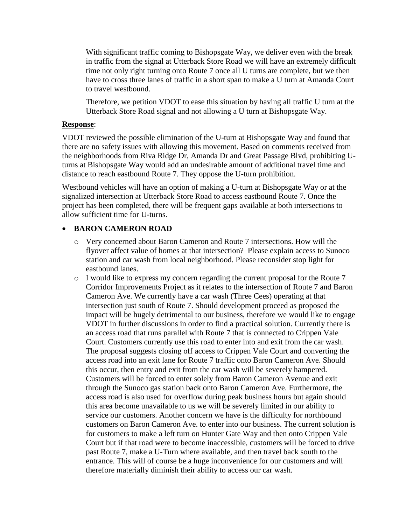With significant traffic coming to Bishopsgate Way, we deliver even with the break in traffic from the signal at Utterback Store Road we will have an extremely difficult time not only right turning onto Route 7 once all U turns are complete, but we then have to cross three lanes of traffic in a short span to make a U turn at Amanda Court to travel westbound.

Therefore, we petition VDOT to ease this situation by having all traffic U turn at the Utterback Store Road signal and not allowing a U turn at Bishopsgate Way.

#### **Response**:

VDOT reviewed the possible elimination of the U-turn at Bishopsgate Way and found that there are no safety issues with allowing this movement. Based on comments received from the neighborhoods from Riva Ridge Dr, Amanda Dr and Great Passage Blvd, prohibiting Uturns at Bishopsgate Way would add an undesirable amount of additional travel time and distance to reach eastbound Route 7. They oppose the U-turn prohibition.

Westbound vehicles will have an option of making a U-turn at Bishopsgate Way or at the signalized intersection at Utterback Store Road to access eastbound Route 7. Once the project has been completed, there will be frequent gaps available at both intersections to allow sufficient time for U-turns.

### **BARON CAMERON ROAD**

- o Very concerned about Baron Cameron and Route 7 intersections. How will the flyover affect value of homes at that intersection? Please explain access to Sunoco station and car wash from local neighborhood. Please reconsider stop light for eastbound lanes.
- $\circ$  I would like to express my concern regarding the current proposal for the Route 7 Corridor Improvements Project as it relates to the intersection of Route 7 and Baron Cameron Ave. We currently have a car wash (Three Cees) operating at that intersection just south of Route 7. Should development proceed as proposed the impact will be hugely detrimental to our business, therefore we would like to engage VDOT in further discussions in order to find a practical solution. Currently there is an access road that runs parallel with Route 7 that is connected to Crippen Vale Court. Customers currently use this road to enter into and exit from the car wash. The proposal suggests closing off access to Crippen Vale Court and converting the access road into an exit lane for Route 7 traffic onto Baron Cameron Ave. Should this occur, then entry and exit from the car wash will be severely hampered. Customers will be forced to enter solely from Baron Cameron Avenue and exit through the Sunoco gas station back onto Baron Cameron Ave. Furthermore, the access road is also used for overflow during peak business hours but again should this area become unavailable to us we will be severely limited in our ability to service our customers. Another concern we have is the difficulty for northbound customers on Baron Cameron Ave. to enter into our business. The current solution is for customers to make a left turn on Hunter Gate Way and then onto Crippen Vale Court but if that road were to become inaccessible, customers will be forced to drive past Route 7, make a U-Turn where available, and then travel back south to the entrance. This will of course be a huge inconvenience for our customers and will therefore materially diminish their ability to access our car wash.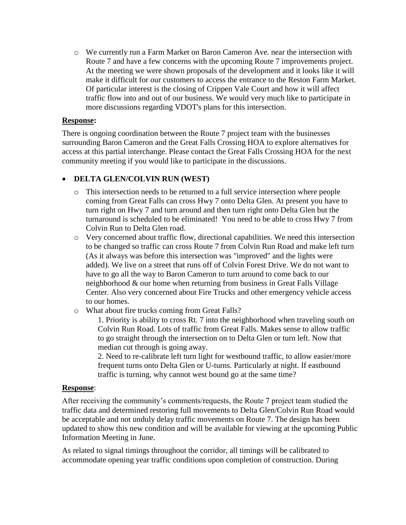o We currently run a Farm Market on Baron Cameron Ave. near the intersection with Route 7 and have a few concerns with the upcoming Route 7 improvements project. At the meeting we were shown proposals of the development and it looks like it will make it difficult for our customers to access the entrance to the Reston Farm Market. Of particular interest is the closing of Crippen Vale Court and how it will affect traffic flow into and out of our business. We would very much like to participate in more discussions regarding VDOT's plans for this intersection.

#### **Response:**

There is ongoing coordination between the Route 7 project team with the businesses surrounding Baron Cameron and the Great Falls Crossing HOA to explore alternatives for access at this partial interchange. Please contact the Great Falls Crossing HOA for the next community meeting if you would like to participate in the discussions.

### **DELTA GLEN/COLVIN RUN (WEST)**

- o This intersection needs to be returned to a full service intersection where people coming from Great Falls can cross Hwy 7 onto Delta Glen. At present you have to turn right on Hwy 7 and turn around and then turn right onto Delta Glen but the turnaround is scheduled to be eliminated! You need to be able to cross Hwy 7 from Colvin Run to Delta Glen road.
- o Very concerned about traffic flow, directional capabilities. We need this intersection to be changed so traffic can cross Route 7 from Colvin Run Road and make left turn (As it always was before this intersection was "improved" and the lights were added). We live on a street that runs off of Colvin Forest Drive. We do not want to have to go all the way to Baron Cameron to turn around to come back to our neighborhood & our home when returning from business in Great Falls Village Center. Also very concerned about Fire Trucks and other emergency vehicle access to our homes.
- o What about fire trucks coming from Great Falls?

1. Priority is ability to cross Rt. 7 into the neighborhood when traveling south on Colvin Run Road. Lots of traffic from Great Falls. Makes sense to allow traffic to go straight through the intersection on to Delta Glen or turn left. Now that median cut through is going away.

2. Need to re-calibrate left turn light for westbound traffic, to allow easier/more frequent turns onto Delta Glen or U-turns. Particularly at night. If eastbound traffic is turning, why cannot west bound go at the same time?

### **Response**:

After receiving the community's comments/requests, the Route 7 project team studied the traffic data and determined restoring full movements to Delta Glen/Colvin Run Road would be acceptable and not unduly delay traffic movements on Route 7. The design has been updated to show this new condition and will be available for viewing at the upcoming Public Information Meeting in June.

As related to signal timings throughout the corridor, all timings will be calibrated to accommodate opening year traffic conditions upon completion of construction. During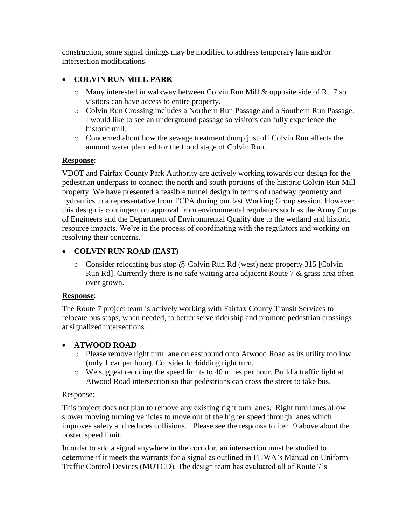construction, some signal timings may be modified to address temporary lane and/or intersection modifications.

### **COLVIN RUN MILL PARK**

- o Many interested in walkway between Colvin Run Mill & opposite side of Rt. 7 so visitors can have access to entire property.
- o Colvin Run Crossing includes a Northern Run Passage and a Southern Run Passage. I would like to see an underground passage so visitors can fully experience the historic mill.
- o Concerned about how the sewage treatment dump just off Colvin Run affects the amount water planned for the flood stage of Colvin Run.

### **Response**:

VDOT and Fairfax County Park Authority are actively working towards our design for the pedestrian underpass to connect the north and south portions of the historic Colvin Run Mill property. We have presented a feasible tunnel design in terms of roadway geometry and hydraulics to a representative from FCPA during our last Working Group session. However, this design is contingent on approval from environmental regulators such as the Army Corps of Engineers and the Department of Environmental Quality due to the wetland and historic resource impacts. We're in the process of coordinating with the regulators and working on resolving their concerns.

### **COLVIN RUN ROAD (EAST)**

o Consider relocating bus stop @ Colvin Run Rd (west) near property 315 [Colvin Run Rd]. Currently there is no safe waiting area adjacent Route 7 & grass area often over grown.

#### **Response**:

The Route 7 project team is actively working with Fairfax County Transit Services to relocate bus stops, when needed, to better serve ridership and promote pedestrian crossings at signalized intersections.

### **ATWOOD ROAD**

- o Please remove right turn lane on eastbound onto Atwood Road as its utility too low (only 1 car per hour). Consider forbidding right turn.
- o We suggest reducing the speed limits to 40 miles per hour. Build a traffic light at Atwood Road intersection so that pedestrians can cross the street to take bus.

### Response:

This project does not plan to remove any existing right turn lanes. Right turn lanes allow slower moving turning vehicles to move out of the higher speed through lanes which improves safety and reduces collisions. Please see the response to item 9 above about the posted speed limit.

In order to add a signal anywhere in the corridor, an intersection must be studied to determine if it meets the warrants for a signal as outlined in FHWA's Manual on Uniform Traffic Control Devices (MUTCD). The design team has evaluated all of Route 7's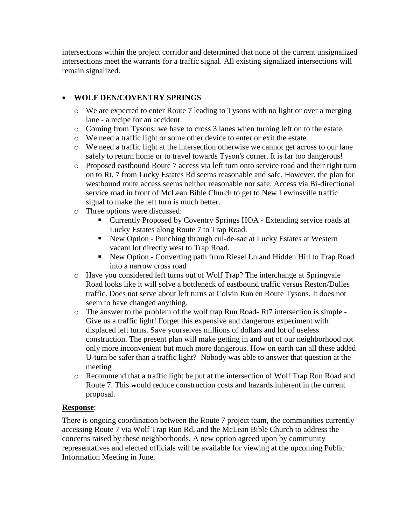intersections within the project corridor and determined that none of the current unsignalized intersections meet the warrants for a traffic signal. All existing signalized intersections will remain signalized.

## **WOLF DEN/COVENTRY SPRINGS**

- o We are expected to enter Route 7 leading to Tysons with no light or over a merging lane - a recipe for an accident
- o Coming from Tysons: we have to cross 3 lanes when turning left on to the estate.
- o We need a traffic light or some other device to enter or exit the estate
- o We need a traffic light at the intersection otherwise we cannot get across to our lane safely to return home or to travel towards Tyson's corner. It is far too dangerous!
- o Proposed eastbound Route 7 access via left turn onto service road and their right turn on to Rt. 7 from Lucky Estates Rd seems reasonable and safe. However, the plan for westbound route access seems neither reasonable nor safe. Access via Bi-directional service road in front of McLean Bible Church to get to New Lewinsville traffic signal to make the left turn is much better.
- o Three options were discussed:
	- Currently Proposed by Coventry Springs HOA Extending service roads at Lucky Estates along Route 7 to Trap Road.
	- New Option Punching through cul-de-sac at Lucky Estates at Western vacant lot directly west to Trap Road.
	- New Option Converting path from Riesel Ln and Hidden Hill to Trap Road into a narrow cross road
- o Have you considered left turns out of Wolf Trap? The interchange at Springvale Road looks like it will solve a bottleneck of eastbound traffic versus Reston/Dulles traffic. Does not serve about left turns at Colvin Run en Route Tysons. It does not seem to have changed anything.
- o The answer to the problem of the wolf trap Run Road- Rt7 intersection is simple Give us a traffic light! Forget this expensive and dangerous experiment with displaced left turns. Save yourselves millions of dollars and lot of useless construction. The present plan will make getting in and out of our neighborhood not only more inconvenient but much more dangerous. How on earth can all these added U-turn be safer than a traffic light? Nobody was able to answer that question at the meeting
- o Recommend that a traffic light be put at the intersection of Wolf Trap Run Road and Route 7. This would reduce construction costs and hazards inherent in the current proposal.

### **Response**:

There is ongoing coordination between the Route 7 project team, the communities currently accessing Route 7 via Wolf Trap Run Rd, and the McLean Bible Church to address the concerns raised by these neighborhoods. A new option agreed upon by community representatives and elected officials will be available for viewing at the upcoming Public Information Meeting in June.